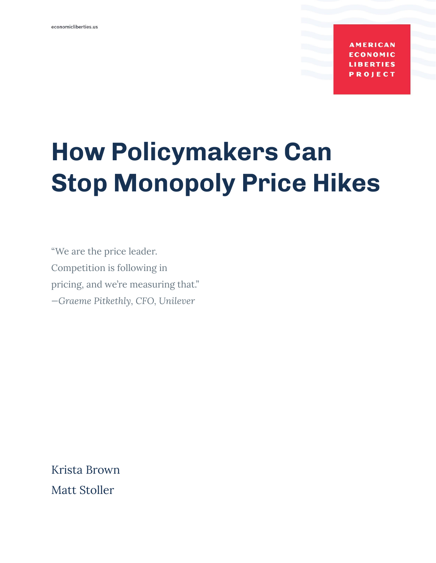**AMERICAN** ONOMIC **LIBERTIES PROJECT** 

# **How Policymakers Can Stop Monopoly Price Hikes**

"We are the price leader. Competition is following in pricing, and we're measuring that." *—Graeme Pitkethly, CFO, Unilever*

Krista Brown Matt Stoller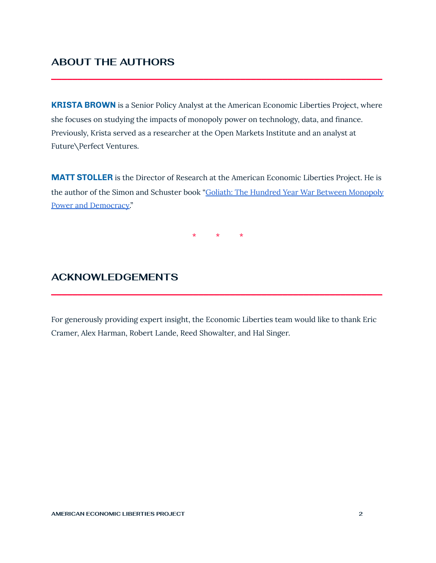## **ABOUT THE AUTHORS**

**KRISTA BROWN** is a Senior Policy Analyst at the American Economic Liberties Project, where she focuses on studying the impacts of monopoly power on technology, data, and finance. Previously, Krista served as a researcher at the Open Markets Institute and an analyst at Future\Perfect Ventures.

**\_\_\_\_\_\_\_\_\_\_\_\_\_\_\_\_\_\_\_\_\_\_\_\_\_\_\_\_\_\_\_\_\_\_\_\_\_\_\_\_\_\_\_\_\_\_\_\_\_\_\_\_\_\_\_\_\_\_\_\_\_\_\_**

**MATT STOLLER** is the Director of Research at the American Economic Liberties Project. He is the author of the Simon and Schuster book "Goliath: The Hundred Year War Between [Monopoly](https://www.simonandschuster.com/books/Goliath/Matt-Stoller/9781501183089) Power and [Democracy](https://www.simonandschuster.com/books/Goliath/Matt-Stoller/9781501183089)."

\* \* \*

## **ACKNOWLEDGEMENTS**

For generously providing expert insight, the Economic Liberties team would like to thank Eric Cramer, Alex Harman, Robert Lande, Reed Showalter, and Hal Singer.

**\_\_\_\_\_\_\_\_\_\_\_\_\_\_\_\_\_\_\_\_\_\_\_\_\_\_\_\_\_\_\_\_\_\_\_\_\_\_\_\_\_\_\_\_\_\_\_\_\_\_\_\_\_\_\_\_\_\_\_\_\_\_\_**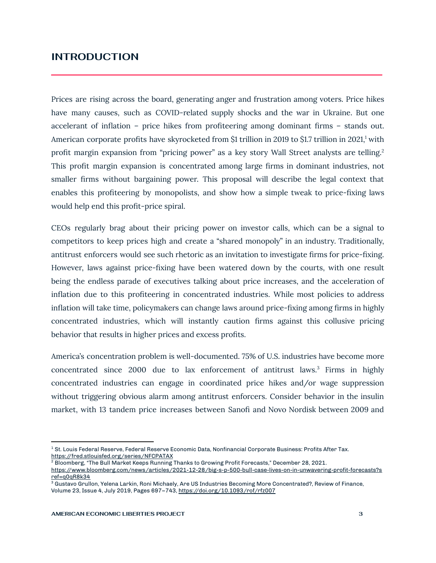### **INTRODUCTION**

Prices are rising across the board, generating anger and frustration among voters. Price hikes have many causes, such as COVID-related supply shocks and the war in Ukraine. But one accelerant of inflation – price hikes from profiteering among dominant firms – stands out. American corporate profits have skyrocketed from \$1 trillion in 2019 to \$1.7 trillion in 2021,<sup>1</sup> with profit margin expansion from "pricing power" as a key story Wall Street analysts are telling.<sup>2</sup> This profit margin expansion is concentrated among large firms in dominant industries, not smaller firms without bargaining power. This proposal will describe the legal context that enables this profiteering by monopolists, and show how a simple tweak to price-fixing laws would help end this profit-price spiral.

**\_\_\_\_\_\_\_\_\_\_\_\_\_\_\_\_\_\_\_\_\_\_\_\_\_\_\_\_\_\_\_\_\_\_\_\_\_\_\_\_\_\_\_\_\_\_\_\_\_\_\_\_\_\_\_\_\_\_\_\_\_\_\_**

CEOs regularly brag about their pricing power on investor calls, which can be a signal to competitors to keep prices high and create a "shared monopoly" in an industry. Traditionally, antitrust enforcers would see such rhetoric as an invitation to investigate firms for price-fixing. However, laws against price-fixing have been watered down by the courts, with one result being the endless parade of executives talking about price increases, and the acceleration of inflation due to this profiteering in concentrated industries. While most policies to address inflation will take time, policymakers can change laws around price-fixing among firms in highly concentrated industries, which will instantly caution firms against this collusive pricing behavior that results in higher prices and excess profits.

America's concentration problem is well-documented. 75% of U.S. industries have become more concentrated since 2000 due to lax enforcement of antitrust laws.<sup>3</sup> Firms in highly concentrated industries can engage in coordinated price hikes and/or wage suppression without triggering obvious alarm among antitrust enforcers. Consider behavior in the insulin market, with 13 tandem price increases between Sanofi and Novo Nordisk between 2009 and

<sup>&</sup>lt;sup>1</sup> St. Louis Federal Reserve, Federal Reserve Economic Data, Nonfinancial Corporate Business: Profits After Tax. <https://fred.stlouisfed.org/series/NFCPATAX>

<sup>2</sup> Bloomberg, "The Bull Market Keeps Running Thanks to Growing Profit Forecasts," December 28, 2021.

[https://www.bloomberg.com/news/articles/2021-12-28/big-s-p-500-bull-case-lives-on-in-unwavering-profit-forecasts?s](https://www.bloomberg.com/news/articles/2021-12-28/big-s-p-500-bull-case-lives-on-in-unwavering-profit-forecasts?sref=q0qR8k34) [ref=q0qR8k34](https://www.bloomberg.com/news/articles/2021-12-28/big-s-p-500-bull-case-lives-on-in-unwavering-profit-forecasts?sref=q0qR8k34)

<sup>&</sup>lt;sup>3</sup> Gustavo Grullon, Yelena Larkin, Roni Michaely, Are US Industries Becoming More Concentrated?, Review of Finance, Volume 23, Issue 4, July 2019, Pages 697–743, <https://doi.org/10.1093/rof/rfz007>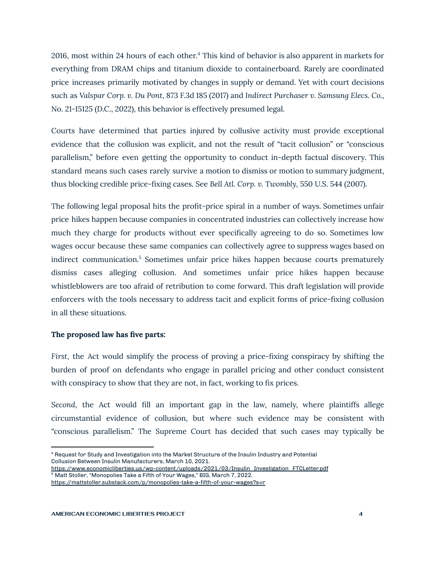2016, most within 24 hours of each other.<sup>4</sup> This kind of behavior is also apparent in markets for everything from DRAM chips and titanium dioxide to containerboard. Rarely are coordinated price increases primarily motivated by changes in supply or demand. Yet with court decisions such as *Valspar Corp. v. Du Pont*, 873 F.3d 185 (2017) and *Indirect Purchaser v. Samsung Elecs. Co.*, No. 21-15125 (D.C., 2022), this behavior is effectively presumed legal.

Courts have determined that parties injured by collusive activity must provide exceptional evidence that the collusion was explicit, and not the result of "tacit collusion" or "conscious parallelism," before even getting the opportunity to conduct in-depth factual discovery. This standard means such cases rarely survive a motion to dismiss or motion to summary judgment, thus blocking credible price-fixing cases. See *Bell Atl. Corp. v. Twombly,* 550 U.S. 544 (2007).

The following legal proposal hits the profit-price spiral in a number of ways. Sometimes unfair price hikes happen because companies in concentrated industries can collectively increase how much they charge for products without ever specifically agreeing to do so. Sometimes low wages occur because these same companies can collectively agree to suppress wages based on indirect communication.<sup>5</sup> Sometimes unfair price hikes happen because courts prematurely dismiss cases alleging collusion. And sometimes unfair price hikes happen because whistleblowers are too afraid of retribution to come forward. This draft legislation will provide enforcers with the tools necessary to address tacit and explicit forms of price-fixing collusion in all these situations.

#### **The proposed law has five parts:**

*First*, the Act would simplify the process of proving a price-fixing conspiracy by shifting the burden of proof on defendants who engage in parallel pricing and other conduct consistent with conspiracy to show that they are not, in fact, working to fix prices.

*Second*, the Act would fill an important gap in the law, namely, where plaintiffs allege circumstantial evidence of collusion, but where such evidence may be consistent with "conscious parallelism." The Supreme Court has decided that such cases may typically be

<sup>4</sup> Request for Study and Investigation into the Market Structure of the Insulin Industry and Potential Collusion Between Insulin Manufacturers, March 10, 2021.

<sup>5</sup> Matt Stoller, "Monopolies Take a Fifth of Your Wages," BIG, March 7, 2022. <https://mattstoller.substack.com/p/monopolies-take-a-fifth-of-your-wages?s=r> [https://www.economicliberties.us/wp-content/uploads/2021/03/Insulin\\_Investigation\\_FTCLetter.pdf](https://www.economicliberties.us/wp-content/uploads/2021/03/Insulin_Investigation_FTCLetter.pdf)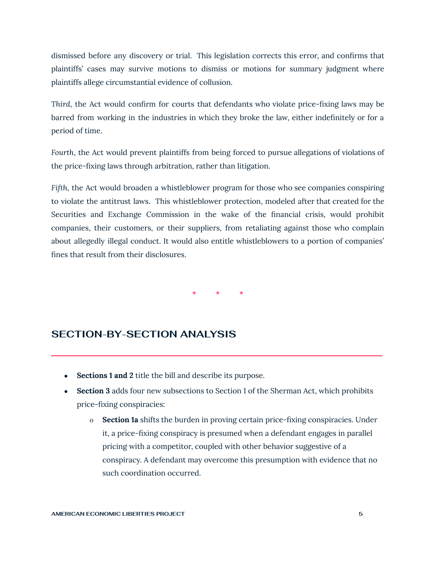dismissed before any discovery or trial. This legislation corrects this error, and confirms that plaintiffs' cases may survive motions to dismiss or motions for summary judgment where plaintiffs allege circumstantial evidence of collusion.

*Third*, the Act would confirm for courts that defendants who violate price-fixing laws may be barred from working in the industries in which they broke the law, either indefinitely or for a period of time.

*Fourth*, the Act would prevent plaintiffs from being forced to pursue allegations of violations of the price-fixing laws through arbitration, rather than litigation.

*Fifth*, the Act would broaden a whistleblower program for those who see companies conspiring to violate the antitrust laws. This whistleblower protection, modeled after that created for the Securities and Exchange Commission in the wake of the financial crisis, would prohibit companies, their customers, or their suppliers, from retaliating against those who complain about allegedly illegal conduct. It would also entitle whistleblowers to a portion of companies' fines that result from their disclosures.

\* \* \*

## **SECTION-BY-SECTION ANALYSIS**

- **Sections 1 and 2** title the bill and describe its purpose.
- **Section 3** adds four new subsections to Section 1 of the Sherman Act, which prohibits price-fixing conspiracies:

**\_\_\_\_\_\_\_\_\_\_\_\_\_\_\_\_\_\_\_\_\_\_\_\_\_\_\_\_\_\_\_\_\_\_\_\_\_\_\_\_\_\_\_\_\_\_\_\_\_\_\_\_\_\_\_\_\_\_\_\_\_\_\_**

o **Section 1a** shifts the burden in proving certain price-fixing conspiracies. Under it, a price-fixing conspiracy is presumed when a defendant engages in parallel pricing with a competitor, coupled with other behavior suggestive of a conspiracy. A defendant may overcome this presumption with evidence that no such coordination occurred.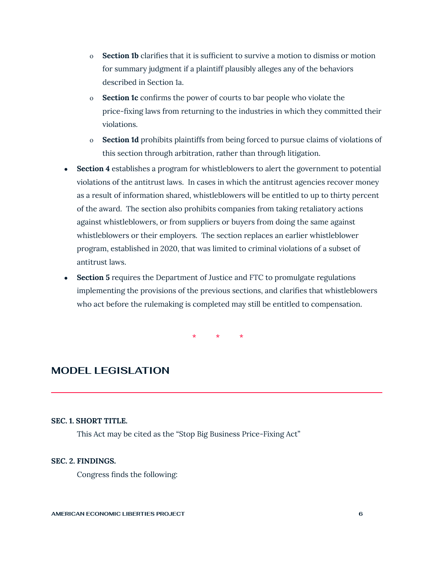- o **Section 1b** clarifies that it is sufficient to survive a motion to dismiss or motion for summary judgment if a plaintiff plausibly alleges any of the behaviors described in Section 1a.
- o **Section 1c** confirms the power of courts to bar people who violate the price-fixing laws from returning to the industries in which they committed their violations.
- o **Section 1d** prohibits plaintiffs from being forced to pursue claims of violations of this section through arbitration, rather than through litigation.
- **Section 4** establishes a program for whistleblowers to alert the government to potential violations of the antitrust laws. In cases in which the antitrust agencies recover money as a result of information shared, whistleblowers will be entitled to up to thirty percent of the award. The section also prohibits companies from taking retaliatory actions against whistleblowers, or from suppliers or buyers from doing the same against whistleblowers or their employers. The section replaces an earlier whistleblower program, established in 2020, that was limited to criminal violations of a subset of antitrust laws.
- **Section 5** requires the Department of Justice and FTC to promulgate regulations implementing the provisions of the previous sections, and clarifies that whistleblowers who act before the rulemaking is completed may still be entitled to compensation.

\* \* \*

**\_\_\_\_\_\_\_\_\_\_\_\_\_\_\_\_\_\_\_\_\_\_\_\_\_\_\_\_\_\_\_\_\_\_\_\_\_\_\_\_\_\_\_\_\_\_\_\_\_\_\_\_\_\_\_\_\_\_\_\_\_\_\_**

## **MODEL LEGISLATION**

#### **SEC. 1. SHORT TITLE.**

This Act may be cited as the "Stop Big Business Price-Fixing Act"

#### **SEC. 2. FINDINGS.**

Congress finds the following: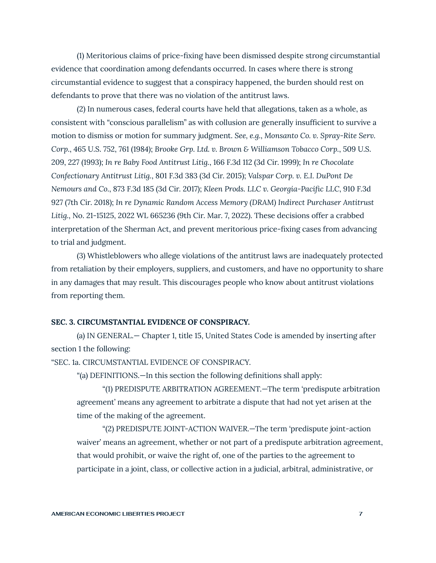(1) Meritorious claims of price-fixing have been dismissed despite strong circumstantial evidence that coordination among defendants occurred. In cases where there is strong circumstantial evidence to suggest that a conspiracy happened, the burden should rest on defendants to prove that there was no violation of the antitrust laws.

(2) In numerous cases, federal courts have held that allegations, taken as a whole, as consistent with "conscious parallelism" as with collusion are generally insufficient to survive a motion to dismiss or motion for summary judgment. *See, e.g.*, *Monsanto Co. v. Spray-Rite Serv. Corp.*, 465 U.S. 752, 761 (1984); *Brooke Grp. Ltd. v. Brown & Williamson Tobacco Corp.*, 509 U.S. 209, 227 (1993); *In re Baby Food Antitrust Litig.*, 166 F.3d 112 (3d Cir. 1999); *In re Chocolate Confectionary Antitrust Litig.*, 801 F.3d 383 (3d Cir. 2015); *Valspar Corp. v. E.I. DuPont De Nemours and Co.*, 873 F.3d 185 (3d Cir. 2017); *Kleen Prods. LLC v. Georgia-Pacific LLC*, 910 F.3d 927 (7th Cir. 2018); *In re Dynamic Random Access Memory (DRAM) Indirect Purchaser Antitrust Litig.*, No. 21-15125, 2022 WL 665236 (9th Cir. Mar. 7, 2022). These decisions offer a crabbed interpretation of the Sherman Act, and prevent meritorious price-fixing cases from advancing to trial and judgment.

(3) Whistleblowers who allege violations of the antitrust laws are inadequately protected from retaliation by their employers, suppliers, and customers, and have no opportunity to share in any damages that may result. This discourages people who know about antitrust violations from reporting them.

#### **SEC. 3. CIRCUMSTANTIAL EVIDENCE OF CONSPIRACY.**

(a) IN GENERAL.— Chapter 1, title 15, United States Code is amended by inserting after section 1 the following:

"SEC. 1a. CIRCUMSTANTIAL EVIDENCE OF CONSPIRACY.

"(a) DEFINITIONS.—In this section the following definitions shall apply:

"(1) PREDISPUTE ARBITRATION AGREEMENT.—The term 'predispute arbitration agreement' means any agreement to arbitrate a dispute that had not yet arisen at the time of the making of the agreement.

"(2) PREDISPUTE JOINT-ACTION WAIVER.—The term 'predispute joint-action waiver' means an agreement, whether or not part of a predispute arbitration agreement, that would prohibit, or waive the right of, one of the parties to the agreement to participate in a joint, class, or collective action in a judicial, arbitral, administrative, or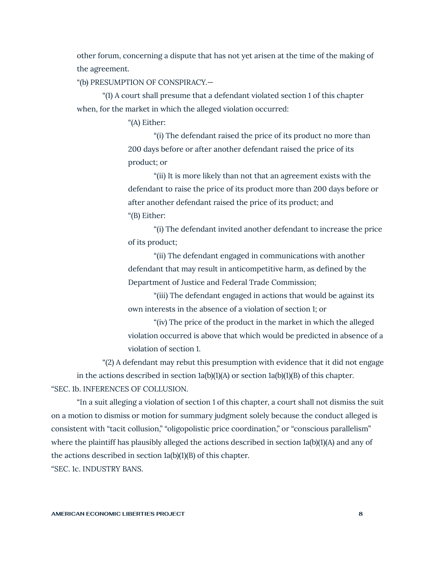other forum, concerning a dispute that has not yet arisen at the time of the making of the agreement.

"(b) PRESUMPTION OF CONSPIRACY.—

"(1) A court shall presume that a defendant violated section 1 of this chapter when, for the market in which the alleged violation occurred:

"(A) Either:

"(i) The defendant raised the price of its product no more than 200 days before or after another defendant raised the price of its product; or

"(ii) It is more likely than not that an agreement exists with the defendant to raise the price of its product more than 200 days before or after another defendant raised the price of its product; and "(B) Either:

"(i) The defendant invited another defendant to increase the price of its product;

"(ii) The defendant engaged in communications with another defendant that may result in anticompetitive harm, as defined by the Department of Justice and Federal Trade Commission;

"(iii) The defendant engaged in actions that would be against its own interests in the absence of a violation of section 1; or

"(iv) The price of the product in the market in which the alleged violation occurred is above that which would be predicted in absence of a violation of section 1.

"(2) A defendant may rebut this presumption with evidence that it did not engage

in the actions described in section  $1a(b)(1)(A)$  or section  $1a(b)(1)(B)$  of this chapter. "SEC. 1b. INFERENCES OF COLLUSION.

"In a suit alleging a violation of section 1 of this chapter, a court shall not dismiss the suit on a motion to dismiss or motion for summary judgment solely because the conduct alleged is consistent with "tacit collusion," "oligopolistic price coordination," or "conscious parallelism" where the plaintiff has plausibly alleged the actions described in section 1a(b)(1)(A) and any of the actions described in section 1a(b)(1)(B) of this chapter.

"SEC. 1c. INDUSTRY BANS.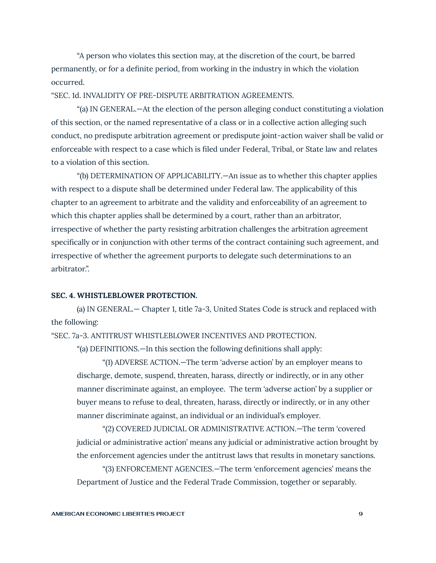"A person who violates this section may, at the discretion of the court, be barred permanently, or for a definite period, from working in the industry in which the violation occurred.

#### "SEC. 1d. INVALIDITY OF PRE-DISPUTE ARBITRATION AGREEMENTS.

"(a) IN GENERAL.—At the election of the person alleging conduct constituting a violation of this section, or the named representative of a class or in a collective action alleging such conduct, no predispute arbitration agreement or predispute joint-action waiver shall be valid or enforceable with respect to a case which is filed under Federal, Tribal, or State law and relates to a violation of this section.

"(b) DETERMINATION OF APPLICABILITY.—An issue as to whether this chapter applies with respect to a dispute shall be determined under Federal law. The applicability of this chapter to an agreement to arbitrate and the validity and enforceability of an agreement to which this chapter applies shall be determined by a court, rather than an arbitrator, irrespective of whether the party resisting arbitration challenges the arbitration agreement specifically or in conjunction with other terms of the contract containing such agreement, and irrespective of whether the agreement purports to delegate such determinations to an arbitrator.".

#### **SEC. 4. WHISTLEBLOWER PROTECTION.**

(a) IN GENERAL.— Chapter 1, title 7a-3, United States Code is struck and replaced with the following:

"SEC. 7a-3. ANTITRUST WHISTLEBLOWER INCENTIVES AND PROTECTION.

"(a) DEFINITIONS.—In this section the following definitions shall apply:

"(1) ADVERSE ACTION.—The term 'adverse action' by an employer means to discharge, demote, suspend, threaten, harass, directly or indirectly, or in any other manner discriminate against, an employee. The term 'adverse action' by a supplier or buyer means to refuse to deal, threaten, harass, directly or indirectly, or in any other manner discriminate against, an individual or an individual's employer.

"(2) COVERED JUDICIAL OR ADMINISTRATIVE ACTION.—The term 'covered judicial or administrative action' means any judicial or administrative action brought by the enforcement agencies under the antitrust laws that results in monetary sanctions.

"(3) ENFORCEMENT AGENCIES.—The term 'enforcement agencies' means the Department of Justice and the Federal Trade Commission, together or separably.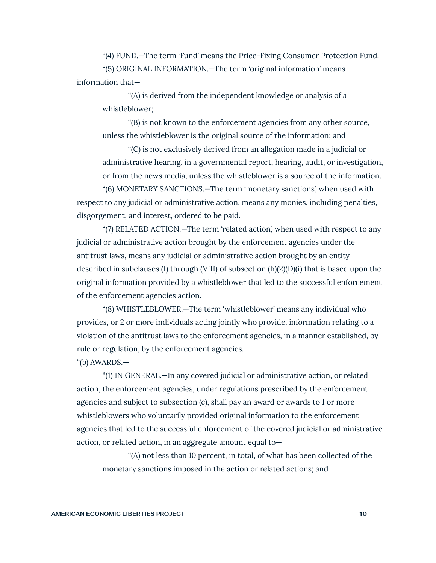"(4) FUND.—The term 'Fund' means the Price-Fixing Consumer Protection Fund.

"(5) ORIGINAL INFORMATION.—The term 'original information' means information that—

"(A) is derived from the independent knowledge or analysis of a whistleblower;

"(B) is not known to the enforcement agencies from any other source, unless the whistleblower is the original source of the information; and

"(C) is not exclusively derived from an allegation made in a judicial or administrative hearing, in a governmental report, hearing, audit, or investigation, or from the news media, unless the whistleblower is a source of the information.

"(6) MONETARY SANCTIONS.—The term 'monetary sanctions', when used with respect to any judicial or administrative action, means any monies, including penalties, disgorgement, and interest, ordered to be paid.

"(7) RELATED ACTION.—The term 'related action', when used with respect to any judicial or administrative action brought by the enforcement agencies under the antitrust laws, means any judicial or administrative action brought by an entity described in subclauses (I) through (VIII) of subsection (h)(2)(D)(i) that is based upon the original information provided by a whistleblower that led to the successful enforcement of the enforcement agencies action.

"(8) WHISTLEBLOWER.—The term 'whistleblower' means any individual who provides, or 2 or more individuals acting jointly who provide, information relating to a violation of the antitrust laws to the enforcement agencies, in a manner established, by rule or regulation, by the enforcement agencies.

"(b) AWARDS.—

"(1) IN GENERAL.—In any covered judicial or administrative action, or related action, the enforcement agencies, under regulations prescribed by the enforcement agencies and subject to subsection (c), shall pay an award or awards to 1 or more whistleblowers who voluntarily provided original information to the enforcement agencies that led to the successful enforcement of the covered judicial or administrative action, or related action, in an aggregate amount equal to—

"(A) not less than 10 percent, in total, of what has been collected of the monetary sanctions imposed in the action or related actions; and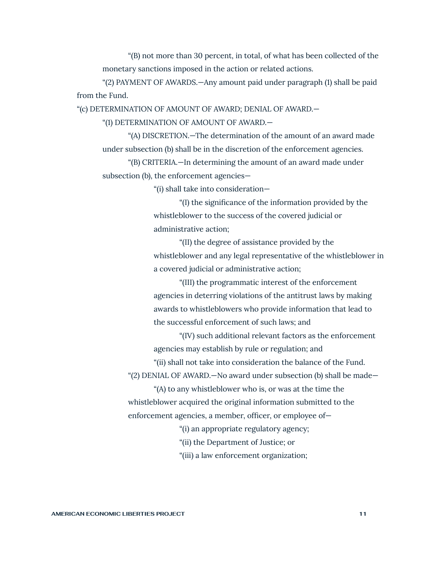"(B) not more than 30 percent, in total, of what has been collected of the monetary sanctions imposed in the action or related actions.

"(2) PAYMENT OF AWARDS.—Any amount paid under paragraph (1) shall be paid from the Fund.

"(c) DETERMINATION OF AMOUNT OF AWARD; DENIAL OF AWARD.—

"(1) DETERMINATION OF AMOUNT OF AWARD.—

"(A) DISCRETION.—The determination of the amount of an award made under subsection (b) shall be in the discretion of the enforcement agencies.

"(B) CRITERIA.—In determining the amount of an award made under subsection (b), the enforcement agencies—

"(i) shall take into consideration—

"(I) the significance of the information provided by the whistleblower to the success of the covered judicial or administrative action;

"(II) the degree of assistance provided by the whistleblower and any legal representative of the whistleblower in a covered judicial or administrative action;

"(III) the programmatic interest of the enforcement agencies in deterring violations of the antitrust laws by making awards to whistleblowers who provide information that lead to the successful enforcement of such laws; and

"(IV) such additional relevant factors as the enforcement agencies may establish by rule or regulation; and

"(ii) shall not take into consideration the balance of the Fund. "(2) DENIAL OF AWARD.—No award under subsection (b) shall be made—

"(A) to any whistleblower who is, or was at the time the whistleblower acquired the original information submitted to the enforcement agencies, a member, officer, or employee of—

"(i) an appropriate regulatory agency;

"(ii) the Department of Justice; or

"(iii) a law enforcement organization;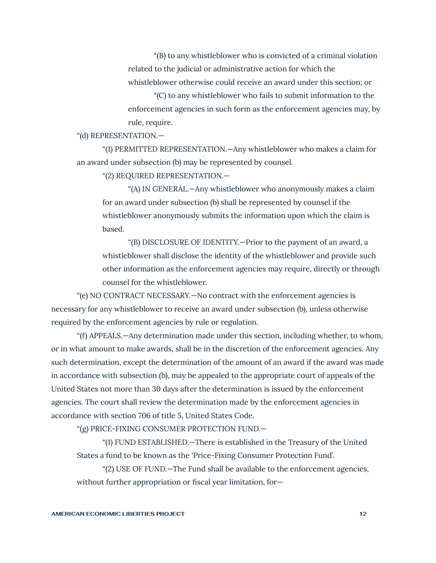"(B) to any whistleblower who is convicted of a criminal violation related to the judicial or administrative action for which the whistleblower otherwise could receive an award under this section; or

"(C) to any whistleblower who fails to submit information to the enforcement agencies in such form as the enforcement agencies may, by rule, require.

"(d) REPRESENTATION.—

"(1) PERMITTED REPRESENTATION.—Any whistleblower who makes a claim for an award under subsection (b) may be represented by counsel.

"(2) REQUIRED REPRESENTATION.—

"(A) IN GENERAL.—Any whistleblower who anonymously makes a claim for an award under subsection (b) shall be represented by counsel if the whistleblower anonymously submits the information upon which the claim is based.

"(B) DISCLOSURE OF IDENTITY.—Prior to the payment of an award, a whistleblower shall disclose the identity of the whistleblower and provide such other information as the enforcement agencies may require, directly or through counsel for the whistleblower.

"(e) NO CONTRACT NECESSARY.—No contract with the enforcement agencies is necessary for any whistleblower to receive an award under subsection (b), unless otherwise required by the enforcement agencies by rule or regulation.

"(f) APPEALS.—Any determination made under this section, including whether, to whom, or in what amount to make awards, shall be in the discretion of the enforcement agencies. Any such determination, except the determination of the amount of an award if the award was made in accordance with subsection (b), may be appealed to the appropriate court of appeals of the United States not more than 30 days after the determination is issued by the enforcement agencies. The court shall review the determination made by the enforcement agencies in accordance with section 706 of title 5, United States Code.

"(g) PRICE-FIXING CONSUMER PROTECTION FUND.—

"(1) FUND ESTABLISHED.—There is established in the Treasury of the United States a fund to be known as the 'Price-Fixing Consumer Protection Fund'.

"(2) USE OF FUND.—The Fund shall be available to the enforcement agencies, without further appropriation or fiscal year limitation, for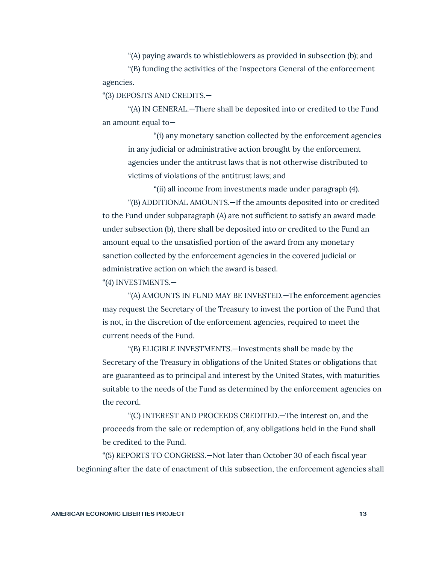"(A) paying awards to whistleblowers as provided in subsection (b); and

"(B) funding the activities of the Inspectors General of the enforcement agencies.

"(3) DEPOSITS AND CREDITS.—

"(A) IN GENERAL.—There shall be deposited into or credited to the Fund an amount equal to—

"(i) any monetary sanction collected by the enforcement agencies in any judicial or administrative action brought by the enforcement agencies under the antitrust laws that is not otherwise distributed to victims of violations of the antitrust laws; and

"(ii) all income from investments made under paragraph (4). "(B) ADDITIONAL AMOUNTS.—If the amounts deposited into or credited to the Fund under subparagraph (A) are not sufficient to satisfy an award made under subsection (b), there shall be deposited into or credited to the Fund an amount equal to the unsatisfied portion of the award from any monetary sanction collected by the enforcement agencies in the covered judicial or administrative action on which the award is based.

"(4) INVESTMENTS.—

"(A) AMOUNTS IN FUND MAY BE INVESTED.—The enforcement agencies may request the Secretary of the Treasury to invest the portion of the Fund that is not, in the discretion of the enforcement agencies, required to meet the current needs of the Fund.

"(B) ELIGIBLE INVESTMENTS.—Investments shall be made by the Secretary of the Treasury in obligations of the United States or obligations that are guaranteed as to principal and interest by the United States, with maturities suitable to the needs of the Fund as determined by the enforcement agencies on the record.

"(C) INTEREST AND PROCEEDS CREDITED.—The interest on, and the proceeds from the sale or redemption of, any obligations held in the Fund shall be credited to the Fund.

"(5) REPORTS TO CONGRESS.—Not later than October 30 of each fiscal year beginning after the date of enactment of this subsection, the enforcement agencies shall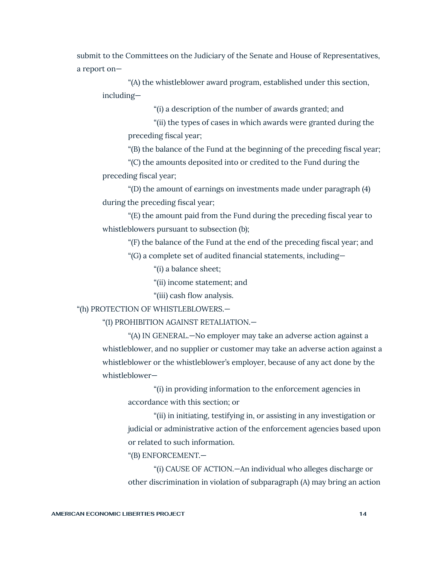submit to the Committees on the Judiciary of the Senate and House of Representatives, a report on—

"(A) the whistleblower award program, established under this section, including—

"(i) a description of the number of awards granted; and

"(ii) the types of cases in which awards were granted during the preceding fiscal year;

"(B) the balance of the Fund at the beginning of the preceding fiscal year;

"(C) the amounts deposited into or credited to the Fund during the preceding fiscal year;

"(D) the amount of earnings on investments made under paragraph (4) during the preceding fiscal year;

"(E) the amount paid from the Fund during the preceding fiscal year to whistleblowers pursuant to subsection (b);

"(F) the balance of the Fund at the end of the preceding fiscal year; and "(G) a complete set of audited financial statements, including—

"(i) a balance sheet;

"(ii) income statement; and

"(iii) cash flow analysis.

"(h) PROTECTION OF WHISTLEBLOWERS.—

"(1) PROHIBITION AGAINST RETALIATION.—

"(A) IN GENERAL.—No employer may take an adverse action against a whistleblower, and no supplier or customer may take an adverse action against a whistleblower or the whistleblower's employer, because of any act done by the whistleblower—

"(i) in providing information to the enforcement agencies in accordance with this section; or

"(ii) in initiating, testifying in, or assisting in any investigation or judicial or administrative action of the enforcement agencies based upon or related to such information.

"(B) ENFORCEMENT.—

"(i) CAUSE OF ACTION.—An individual who alleges discharge or other discrimination in violation of subparagraph (A) may bring an action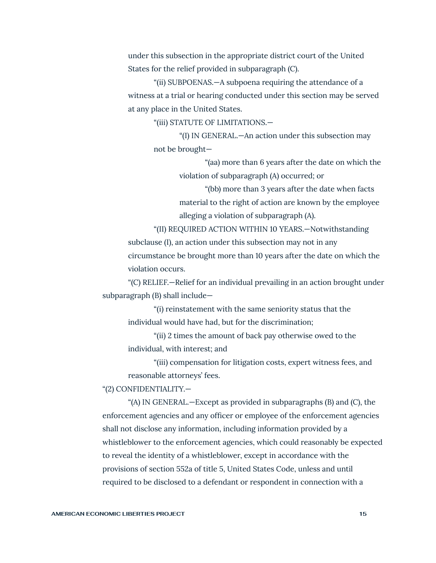under this subsection in the appropriate district court of the United States for the relief provided in subparagraph (C).

"(ii) SUBPOENAS.—A subpoena requiring the attendance of a witness at a trial or hearing conducted under this section may be served at any place in the United States.

"(iii) STATUTE OF LIMITATIONS.—

"(I) IN GENERAL.—An action under this subsection may not be brought—

> "(aa) more than 6 years after the date on which the violation of subparagraph (A) occurred; or

"(bb) more than 3 years after the date when facts material to the right of action are known by the employee alleging a violation of subparagraph (A).

"(II) REQUIRED ACTION WITHIN 10 YEARS.—Notwithstanding subclause (I), an action under this subsection may not in any circumstance be brought more than 10 years after the date on which the violation occurs.

"(C) RELIEF.—Relief for an individual prevailing in an action brought under subparagraph (B) shall include—

"(i) reinstatement with the same seniority status that the individual would have had, but for the discrimination;

"(ii) 2 times the amount of back pay otherwise owed to the individual, with interest; and

"(iii) compensation for litigation costs, expert witness fees, and reasonable attorneys' fees.

"(2) CONFIDENTIALITY.—

"(A) IN GENERAL.—Except as provided in subparagraphs (B) and (C), the enforcement agencies and any officer or employee of the enforcement agencies shall not disclose any information, including information provided by a whistleblower to the enforcement agencies, which could reasonably be expected to reveal the identity of a whistleblower, except in accordance with the provisions of section 552a of title 5, United States Code, unless and until required to be disclosed to a defendant or respondent in connection with a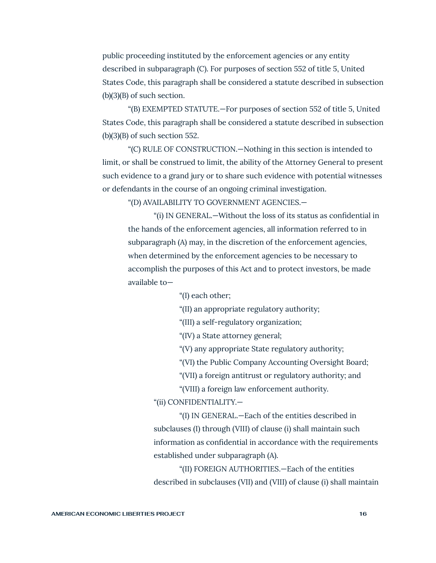public proceeding instituted by the enforcement agencies or any entity described in subparagraph (C). For purposes of section 552 of title 5, United States Code, this paragraph shall be considered a statute described in subsection (b)(3)(B) of such section.

"(B) EXEMPTED STATUTE.—For purposes of section 552 of title 5, United States Code, this paragraph shall be considered a statute described in subsection  $(b)(3)(B)$  of such section 552.

"(C) RULE OF CONSTRUCTION.—Nothing in this section is intended to limit, or shall be construed to limit, the ability of the Attorney General to present such evidence to a grand jury or to share such evidence with potential witnesses or defendants in the course of an ongoing criminal investigation.

"(D) AVAILABILITY TO GOVERNMENT AGENCIES.—

"(i) IN GENERAL.—Without the loss of its status as confidential in the hands of the enforcement agencies, all information referred to in subparagraph (A) may, in the discretion of the enforcement agencies, when determined by the enforcement agencies to be necessary to accomplish the purposes of this Act and to protect investors, be made available to—

"(I) each other;

"(II) an appropriate regulatory authority;

"(III) a self-regulatory organization;

"(IV) a State attorney general;

"(V) any appropriate State regulatory authority;

"(VI) the Public Company Accounting Oversight Board;

"(VII) a foreign antitrust or regulatory authority; and

"(VIII) a foreign law enforcement authority.

"(ii) CONFIDENTIALITY.—

"(I) IN GENERAL.—Each of the entities described in subclauses (I) through (VIII) of clause (i) shall maintain such information as confidential in accordance with the requirements established under subparagraph (A).

"(II) FOREIGN AUTHORITIES.—Each of the entities described in subclauses (VII) and (VIII) of clause (i) shall maintain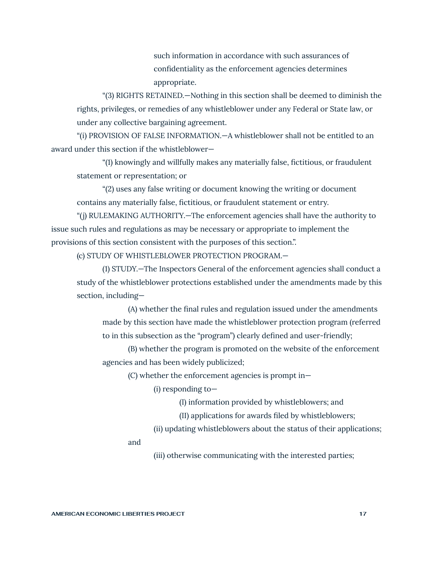such information in accordance with such assurances of confidentiality as the enforcement agencies determines appropriate.

"(3) RIGHTS RETAINED.—Nothing in this section shall be deemed to diminish the rights, privileges, or remedies of any whistleblower under any Federal or State law, or under any collective bargaining agreement.

"(i) PROVISION OF FALSE INFORMATION.—A whistleblower shall not be entitled to an award under this section if the whistleblower—

"(1) knowingly and willfully makes any materially false, fictitious, or fraudulent statement or representation; or

"(2) uses any false writing or document knowing the writing or document contains any materially false, fictitious, or fraudulent statement or entry.

"(j) RULEMAKING AUTHORITY.—The enforcement agencies shall have the authority to issue such rules and regulations as may be necessary or appropriate to implement the provisions of this section consistent with the purposes of this section.".

(c) STUDY OF WHISTLEBLOWER PROTECTION PROGRAM.—

(1) STUDY.—The Inspectors General of the enforcement agencies shall conduct a study of the whistleblower protections established under the amendments made by this section, including—

(A) whether the final rules and regulation issued under the amendments made by this section have made the whistleblower protection program (referred to in this subsection as the "program") clearly defined and user-friendly;

(B) whether the program is promoted on the website of the enforcement agencies and has been widely publicized;

(C) whether the enforcement agencies is prompt in—

(i) responding to—

(I) information provided by whistleblowers; and

(II) applications for awards filed by whistleblowers;

(ii) updating whistleblowers about the status of their applications;

and

(iii) otherwise communicating with the interested parties;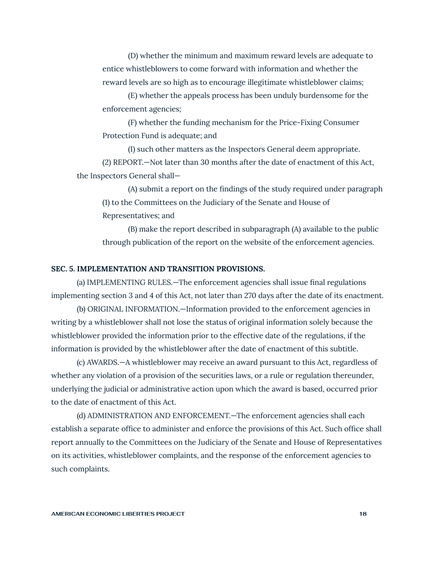(D) whether the minimum and maximum reward levels are adequate to entice whistleblowers to come forward with information and whether the reward levels are so high as to encourage illegitimate whistleblower claims;

(E) whether the appeals process has been unduly burdensome for the enforcement agencies;

(F) whether the funding mechanism for the Price-Fixing Consumer Protection Fund is adequate; and

(I) such other matters as the Inspectors General deem appropriate. (2) REPORT.—Not later than 30 months after the date of enactment of this Act, the Inspectors General shall—

(A) submit a report on the findings of the study required under paragraph (1) to the Committees on the Judiciary of the Senate and House of Representatives; and

(B) make the report described in subparagraph (A) available to the public through publication of the report on the website of the enforcement agencies.

#### **SEC. 5. IMPLEMENTATION AND TRANSITION PROVISIONS.**

(a) IMPLEMENTING RULES.—The enforcement agencies shall issue final regulations implementing section 3 and 4 of this Act, not later than 270 days after the date of its enactment.

(b) ORIGINAL INFORMATION.—Information provided to the enforcement agencies in writing by a whistleblower shall not lose the status of original information solely because the whistleblower provided the information prior to the effective date of the regulations, if the information is provided by the whistleblower after the date of enactment of this subtitle.

(c) AWARDS.—A whistleblower may receive an award pursuant to this Act, regardless of whether any violation of a provision of the securities laws, or a rule or regulation thereunder, underlying the judicial or administrative action upon which the award is based, occurred prior to the date of enactment of this Act.

(d) ADMINISTRATION AND ENFORCEMENT.—The enforcement agencies shall each establish a separate office to administer and enforce the provisions of this Act. Such office shall report annually to the Committees on the Judiciary of the Senate and House of Representatives on its activities, whistleblower complaints, and the response of the enforcement agencies to such complaints.